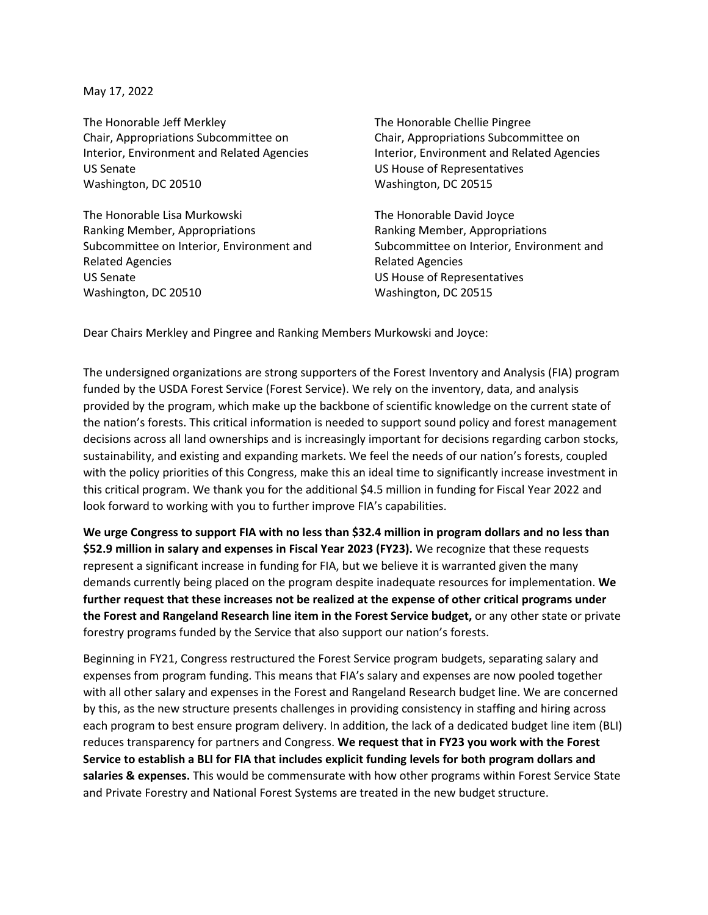May 17, 2022

The Honorable Jeff Merkley The Honorable Chellie Pingree Chair, Appropriations Subcommittee on Chair, Appropriations Subcommittee on Interior, Environment and Related Agencies **Interior, Environment and Related Agencies** US Senate US House of Representatives Washington, DC 20510 Washington, DC 20515

The Honorable Lisa Murkowski **The Honorable David Joyce** Ranking Member, Appropriations The Ranking Member, Appropriations Ranking Member, Appropriations Subcommittee on Interior, Environment and Subcommittee on Interior, Environment and Related Agencies Related Agencies US Senate US House of Representatives Washington, DC 20510 Washington, DC 20515

Dear Chairs Merkley and Pingree and Ranking Members Murkowski and Joyce:

The undersigned organizations are strong supporters of the Forest Inventory and Analysis (FIA) program funded by the USDA Forest Service (Forest Service). We rely on the inventory, data, and analysis provided by the program, which make up the backbone of scientific knowledge on the current state of the nation's forests. This critical information is needed to support sound policy and forest management decisions across all land ownerships and is increasingly important for decisions regarding carbon stocks, sustainability, and existing and expanding markets. We feel the needs of our nation's forests, coupled with the policy priorities of this Congress, make this an ideal time to significantly increase investment in this critical program. We thank you for the additional \$4.5 million in funding for Fiscal Year 2022 and look forward to working with you to further improve FIA's capabilities.

**We urge Congress to support FIA with no less than \$32.4 million in program dollars and no less than \$52.9 million in salary and expenses in Fiscal Year 2023 (FY23).** We recognize that these requests represent a significant increase in funding for FIA, but we believe it is warranted given the many demands currently being placed on the program despite inadequate resources for implementation. **We further request that these increases not be realized at the expense of other critical programs under the Forest and Rangeland Research line item in the Forest Service budget,** or any other state or private forestry programs funded by the Service that also support our nation's forests.

Beginning in FY21, Congress restructured the Forest Service program budgets, separating salary and expenses from program funding. This means that FIA's salary and expenses are now pooled together with all other salary and expenses in the Forest and Rangeland Research budget line. We are concerned by this, as the new structure presents challenges in providing consistency in staffing and hiring across each program to best ensure program delivery. In addition, the lack of a dedicated budget line item (BLI) reduces transparency for partners and Congress. **We request that in FY23 you work with the Forest Service to establish a BLI for FIA that includes explicit funding levels for both program dollars and salaries & expenses.** This would be commensurate with how other programs within Forest Service State and Private Forestry and National Forest Systems are treated in the new budget structure.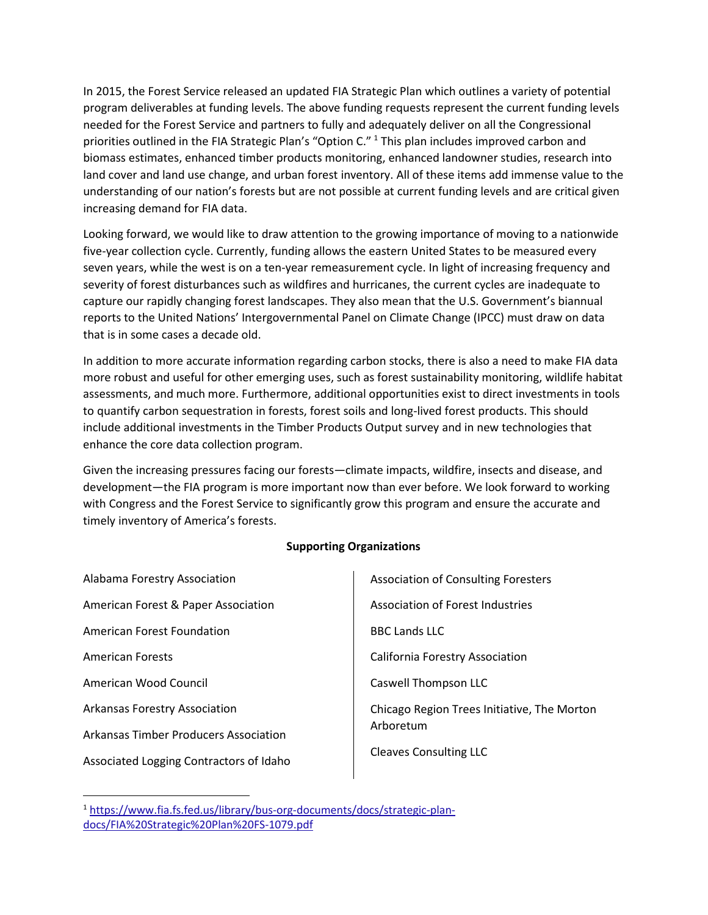In 2015, the Forest Service released an updated FIA Strategic Plan which outlines a variety of potential program deliverables at funding levels. The above funding requests represent the current funding levels needed for the Forest Service and partners to fully and adequately deliver on all the Congressional priorities outlined in the FIA Strategic Plan's "Option C." <sup>[1](#page-1-0)</sup> This plan includes improved carbon and biomass estimates, enhanced timber products monitoring, enhanced landowner studies, research into land cover and land use change, and urban forest inventory. All of these items add immense value to the understanding of our nation's forests but are not possible at current funding levels and are critical given increasing demand for FIA data.

Looking forward, we would like to draw attention to the growing importance of moving to a nationwide five-year collection cycle. Currently, funding allows the eastern United States to be measured every seven years, while the west is on a ten-year remeasurement cycle. In light of increasing frequency and severity of forest disturbances such as wildfires and hurricanes, the current cycles are inadequate to capture our rapidly changing forest landscapes. They also mean that the U.S. Government's biannual reports to the United Nations' Intergovernmental Panel on Climate Change (IPCC) must draw on data that is in some cases a decade old.

In addition to more accurate information regarding carbon stocks, there is also a need to make FIA data more robust and useful for other emerging uses, such as forest sustainability monitoring, wildlife habitat assessments, and much more. Furthermore, additional opportunities exist to direct investments in tools to quantify carbon sequestration in forests, forest soils and long-lived forest products. This should include additional investments in the Timber Products Output survey and in new technologies that enhance the core data collection program.

Given the increasing pressures facing our forests—climate impacts, wildfire, insects and disease, and development—the FIA program is more important now than ever before. We look forward to working with Congress and the Forest Service to significantly grow this program and ensure the accurate and timely inventory of America's forests.

## **Supporting Organizations**

| Alabama Forestry Association            |
|-----------------------------------------|
| American Forest & Paper Association     |
| American Forest Foundation              |
| <b>American Forests</b>                 |
| American Wood Council                   |
| <b>Arkansas Forestry Association</b>    |
| Arkansas Timber Producers Association   |
| Associated Logging Contractors of Idaho |

Association of Consulting Foresters Association of Forest Industries BBC Lands LLC California Forestry Association Caswell Thompson LLC Chicago Region Trees Initiative, The Morton Arboretum Cleaves Consulting LLC

<span id="page-1-0"></span><sup>1</sup> [https://www.fia.fs.fed.us/library/bus-org-documents/docs/strategic-plan](https://www.fia.fs.fed.us/library/bus-org-documents/docs/strategic-plan-docs/FIA%20Strategic%20Plan%20FS-1079.pdf)[docs/FIA%20Strategic%20Plan%20FS-1079.pdf](https://www.fia.fs.fed.us/library/bus-org-documents/docs/strategic-plan-docs/FIA%20Strategic%20Plan%20FS-1079.pdf)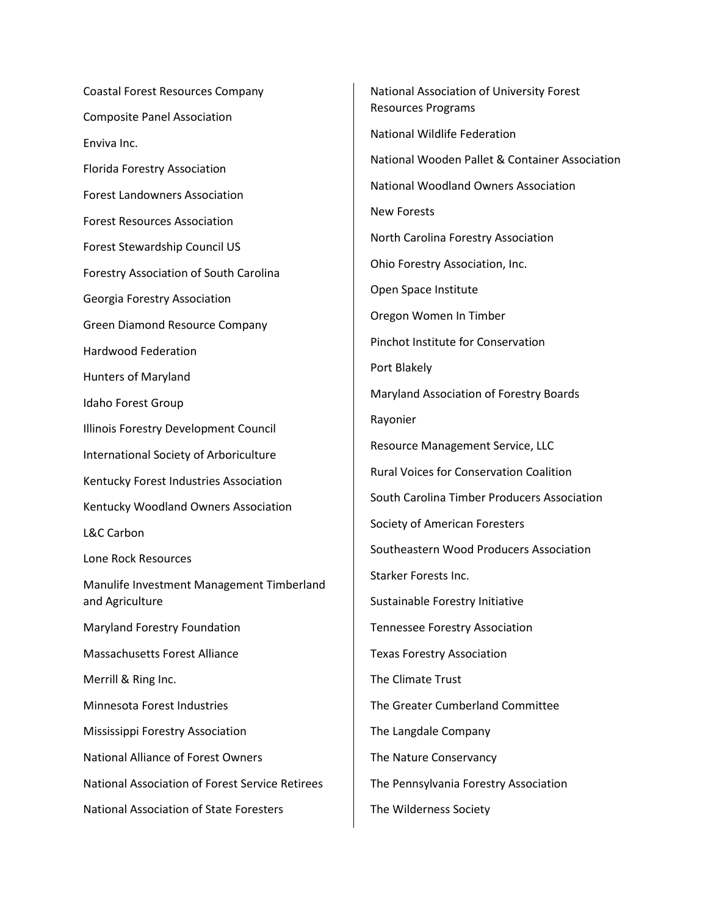Coastal Forest Resources Company Composite Panel Association Enviva Inc. Florida Forestry Association Forest Landowners Association Forest Resources Association Forest Stewardship Council US Forestry Association of South Carolina Georgia Forestry Association Green Diamond Resource Company Hardwood Federation Hunters of Maryland Idaho Forest Group Illinois Forestry Development Council International Society of Arboriculture Kentucky Forest Industries Association Kentucky Woodland Owners Association L&C Carbon Lone Rock Resources Manulife Investment Management Timberland and Agriculture Maryland Forestry Foundation Massachusetts Forest Alliance Merrill & Ring Inc. Minnesota Forest Industries Mississippi Forestry Association National Alliance of Forest Owners National Association of Forest Service Retirees National Association of State Foresters

National Association of University Forest Resources Programs National Wildlife Federation National Wooden Pallet & Container Association National Woodland Owners Association New Forests North Carolina Forestry Association Ohio Forestry Association, Inc. Open Space Institute Oregon Women In Timber Pinchot Institute for Conservation Port Blakely Maryland Association of Forestry Boards Rayonier Resource Management Service, LLC Rural Voices for Conservation Coalition South Carolina Timber Producers Association Society of American Foresters Southeastern Wood Producers Association Starker Forests Inc. Sustainable Forestry Initiative Tennessee Forestry Association Texas Forestry Association The Climate Trust The Greater Cumberland Committee The Langdale Company The Nature Conservancy The Pennsylvania Forestry Association The Wilderness Society